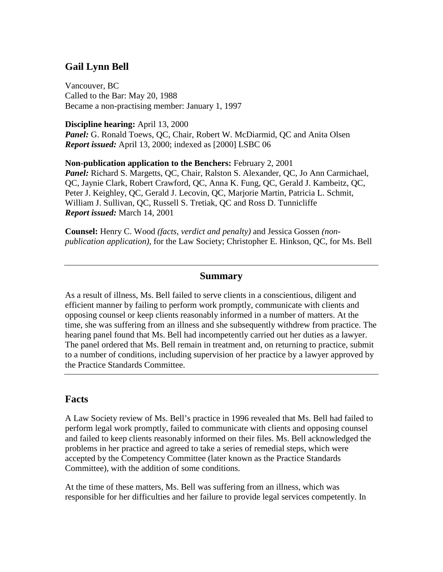# **Gail Lynn Bell**

Vancouver, BC Called to the Bar: May 20, 1988 Became a non-practising member: January 1, 1997

**Discipline hearing:** April 13, 2000 Panel: G. Ronald Toews, QC, Chair, Robert W. McDiarmid, QC and Anita Olsen *Report issued:* April 13, 2000; indexed as [2000] LSBC 06

**Non-publication application to the Benchers:** February 2, 2001 *Panel:* Richard S. Margetts, QC, Chair, Ralston S. Alexander, QC, Jo Ann Carmichael, QC, Jaynie Clark, Robert Crawford, QC, Anna K. Fung, QC, Gerald J. Kambeitz, QC, Peter J. Keighley, QC, Gerald J. Lecovin, QC, Marjorie Martin, Patricia L. Schmit, William J. Sullivan, QC, Russell S. Tretiak, QC and Ross D. Tunnicliffe *Report issued:* March 14, 2001

**Counsel:** Henry C. Wood *(facts, verdict and penalty)* and Jessica Gossen *(nonpublication application)*, for the Law Society; Christopher E. Hinkson, QC, for Ms. Bell

#### **Summary**

As a result of illness, Ms. Bell failed to serve clients in a conscientious, diligent and efficient manner by failing to perform work promptly, communicate with clients and opposing counsel or keep clients reasonably informed in a number of matters. At the time, she was suffering from an illness and she subsequently withdrew from practice. The hearing panel found that Ms. Bell had incompetently carried out her duties as a lawyer. The panel ordered that Ms. Bell remain in treatment and, on returning to practice, submit to a number of conditions, including supervision of her practice by a lawyer approved by the Practice Standards Committee.

### **Facts**

A Law Society review of Ms. Bell's practice in 1996 revealed that Ms. Bell had failed to perform legal work promptly, failed to communicate with clients and opposing counsel and failed to keep clients reasonably informed on their files. Ms. Bell acknowledged the problems in her practice and agreed to take a series of remedial steps, which were accepted by the Competency Committee (later known as the Practice Standards Committee), with the addition of some conditions.

At the time of these matters, Ms. Bell was suffering from an illness, which was responsible for her difficulties and her failure to provide legal services competently. In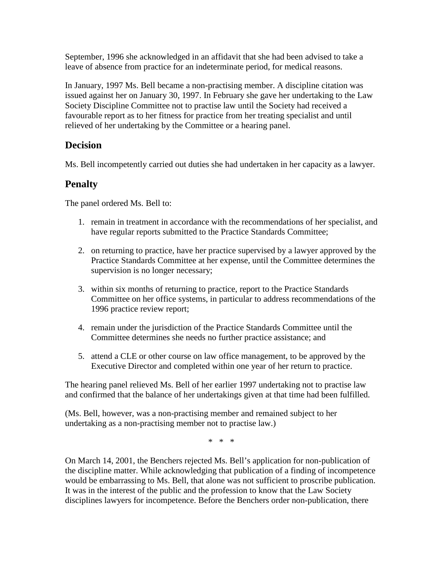September, 1996 she acknowledged in an affidavit that she had been advised to take a leave of absence from practice for an indeterminate period, for medical reasons.

In January, 1997 Ms. Bell became a non-practising member. A discipline citation was issued against her on January 30, 1997. In February she gave her undertaking to the Law Society Discipline Committee not to practise law until the Society had received a favourable report as to her fitness for practice from her treating specialist and until relieved of her undertaking by the Committee or a hearing panel.

### **Decision**

Ms. Bell incompetently carried out duties she had undertaken in her capacity as a lawyer.

## **Penalty**

The panel ordered Ms. Bell to:

- 1. remain in treatment in accordance with the recommendations of her specialist, and have regular reports submitted to the Practice Standards Committee;
- 2. on returning to practice, have her practice supervised by a lawyer approved by the Practice Standards Committee at her expense, until the Committee determines the supervision is no longer necessary;
- 3. within six months of returning to practice, report to the Practice Standards Committee on her office systems, in particular to address recommendations of the 1996 practice review report;
- 4. remain under the jurisdiction of the Practice Standards Committee until the Committee determines she needs no further practice assistance; and
- 5. attend a CLE or other course on law office management, to be approved by the Executive Director and completed within one year of her return to practice.

The hearing panel relieved Ms. Bell of her earlier 1997 undertaking not to practise law and confirmed that the balance of her undertakings given at that time had been fulfilled.

(Ms. Bell, however, was a non-practising member and remained subject to her undertaking as a non-practising member not to practise law.)

\* \* \*

On March 14, 2001, the Benchers rejected Ms. Bell's application for non-publication of the discipline matter. While acknowledging that publication of a finding of incompetence would be embarrassing to Ms. Bell, that alone was not sufficient to proscribe publication. It was in the interest of the public and the profession to know that the Law Society disciplines lawyers for incompetence. Before the Benchers order non-publication, there